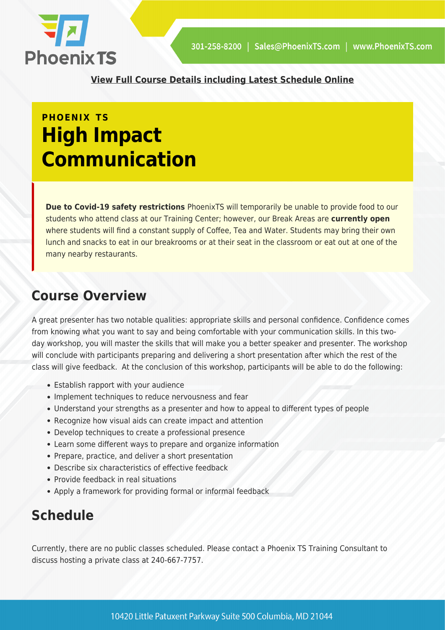

**[View Full Course Details including Latest Schedule Online](https://phoenixts.com/training-courses/high-impact-communication/)**

## **PHOENIX TS High Impact Communication**

**Due to Covid-19 safety restrictions** PhoenixTS will temporarily be unable to provide food to our students who attend class at our Training Center; however, our Break Areas are **currently open** where students will find a constant supply of Coffee, Tea and Water. Students may bring their own lunch and snacks to eat in our breakrooms or at their seat in the classroom or eat out at one of the many nearby restaurants.

### **Course Overview**

A great presenter has two notable qualities: appropriate skills and personal confidence. Confidence comes from knowing what you want to say and being comfortable with your communication skills. In this twoday workshop, you will master the skills that will make you a better speaker and presenter. The workshop will conclude with participants preparing and delivering a short presentation after which the rest of the class will give feedback. At the conclusion of this workshop, participants will be able to do the following:

- Establish rapport with your audience
- Implement techniques to reduce nervousness and fear
- Understand your strengths as a presenter and how to appeal to different types of people
- Recognize how visual aids can create impact and attention
- Develop techniques to create a professional presence
- Learn some different ways to prepare and organize information
- Prepare, practice, and deliver a short presentation
- Describe six characteristics of effective feedback
- Provide feedback in real situations
- Apply a framework for providing formal or informal feedback

### **Schedule**

Currently, there are no public classes scheduled. Please contact a Phoenix TS Training Consultant to discuss hosting a private class at 240-667-7757.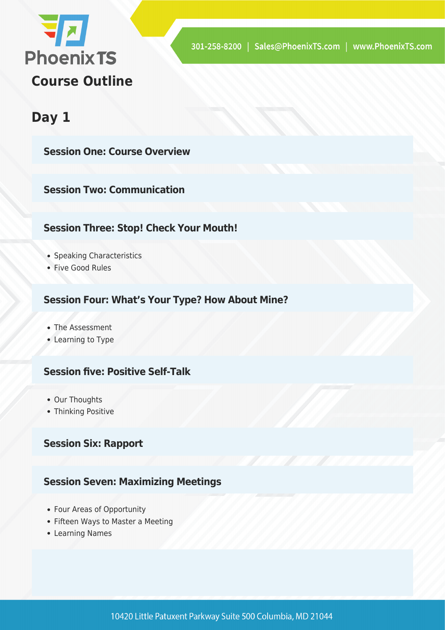

### **Day 1**

**Session One: Course Overview**

**Session Two: Communication**

### **Session Three: Stop! Check Your Mouth!**

- Speaking Characteristics
- Five Good Rules

### **Session Four: What's Your Type? How About Mine?**

- The Assessment
- Learning to Type

### **Session five: Positive Self-Talk**

- Our Thoughts
- Thinking Positive

### **Session Six: Rapport**

### **Session Seven: Maximizing Meetings**

- Four Areas of Opportunity
- Fifteen Ways to Master a Meeting
- Learning Names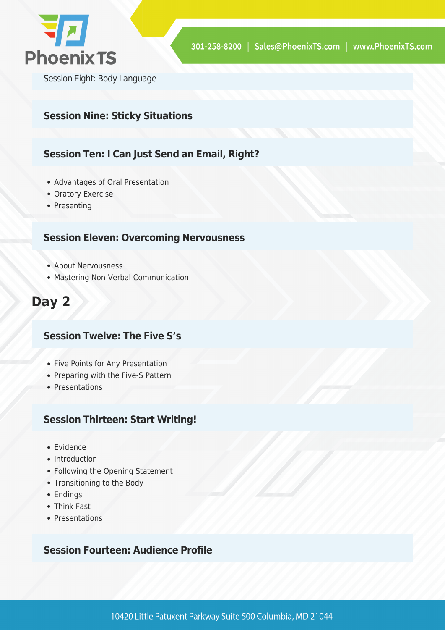

Session Eight: Body Language

### **Session Nine: Sticky Situations**

### **Session Ten: I Can Just Send an Email, Right?**

- Advantages of Oral Presentation
- Oratory Exercise
- Presenting

### **Session Eleven: Overcoming Nervousness**

- About Nervousness
- Mastering Non-Verbal Communication

### **Day 2**

### **Session Twelve: The Five S's**

- Five Points for Any Presentation
- Preparing with the Five-S Pattern
- Presentations

#### **Session Thirteen: Start Writing!**

- Evidence
- Introduction
- Following the Opening Statement
- Transitioning to the Body
- Endings
- Think Fast
- Presentations

#### **Session Fourteen: Audience Profile**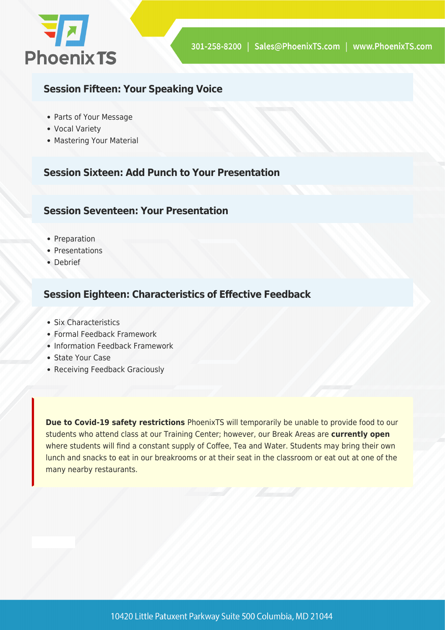

### **Session Fifteen: Your Speaking Voice**

- Parts of Your Message
- Vocal Variety
- Mastering Your Material

### **Session Sixteen: Add Punch to Your Presentation**

### **Session Seventeen: Your Presentation**

- Preparation
- Presentations
- Debrief

### **Session Eighteen: Characteristics of Effective Feedback**

- Six Characteristics
- Formal Feedback Framework
- Information Feedback Framework
- State Your Case
- Receiving Feedback Graciously

**Due to Covid-19 safety restrictions** PhoenixTS will temporarily be unable to provide food to our students who attend class at our Training Center; however, our Break Areas are **currently open** where students will find a constant supply of Coffee, Tea and Water. Students may bring their own lunch and snacks to eat in our breakrooms or at their seat in the classroom or eat out at one of the many nearby restaurants.